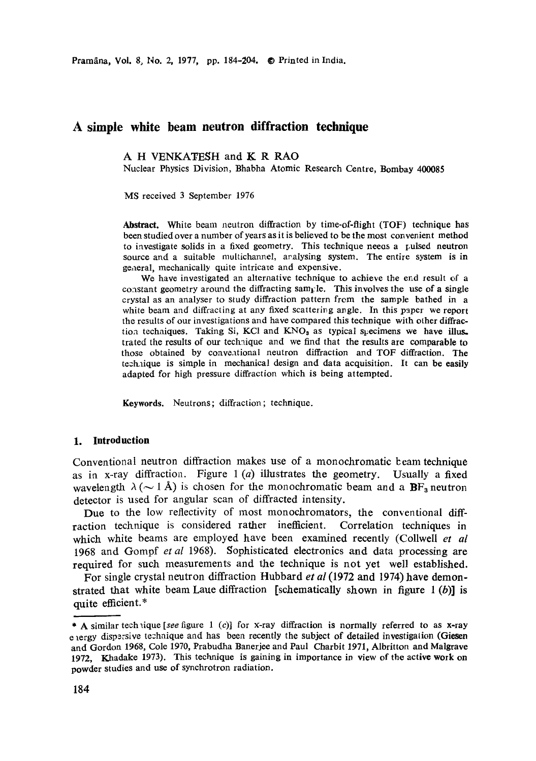# **A simple white beam neutron diffraction technique**

A H VENKATESH and K R RAO

Nuclear Physics Division, Bhabha Atomic Research Centre, Bombay 400085

MS received 3 September 1976

Abstract. White beam neutron diffraction by time-of-flight (TOF) technique has been studied over a number of years as it is believed to be the most convenient method to investigate solids in a fixed geometry. This technique neeos a I, ulsed **neutron**  source and a suitable multichannel, aralysing system. The entire system is in general, mechanically quite intricate and expensive.

We have investigated an alternative technique to achieve the end result of a constant geometry around the diffracting sample. This involves the use of a single crystal as an analyser to study diffraction pattern from the sample bathed in a white beam and diffracting at any fixed scattering angle. In this paper we report the results of our investigations and have compared this technique with other diffraction techniques. Taking Si, KCl and  $KNO<sub>9</sub>$  as typical specimens we have illus. trated the results of our technique and we find that the results are comparable to those obtained by conventional neutron diffraction and TOF diffraction. The technique is simple in mechanical design and data acquisition. It can be easily adapted for high pressure diffraction which is being attempted.

**Keywords.** Neutrons; diffraction ; technique.

#### **1. Introduction**

Conventional neutron diffraction makes use of a monochromatic beam technique as in x-ray diffraction. Figure  $1(a)$  illustrates the geometry. Usually a fixed wavelength  $\lambda$  ( $\sim$  1 Å) is chosen for the monochromatic beam and a BF<sub>3</sub> neutron detector is used for angular scan of diffracted intensity.

Due to the low reflectivity of most monochromators, the conventional diffraction technique is considered rather inefficient. Correlation techniques in which white beams are employed have been examined recently (Collwell *et al*  1968 and Gompf *et al* 1968). Sophisticated electronics and data processing are required for such measurements and the technique is not yet well established.

For single crystal neutron diffraction Hubbard *et al* (1972 and 1974) have demonstrated that white beam Laue diffraction [schematically shown in figure  $1(b)$ ] is quite efficient.\*

<sup>\*</sup> A similar technique *[see figure* 1 (c)] for x-ray diffraction is normally referred to as x-ray e lergy dispersive technique and has been recently the subject of detailed investigation (Giesen and Gordon 1968, Cole 1970, Prabudha Banerjee and Paul Charbit 1971, Albritton and Maigrave 1972, Khadake 1973). This technique is gaining in importance in view of the active **work on**  powder studies and use of synchrotron radiation.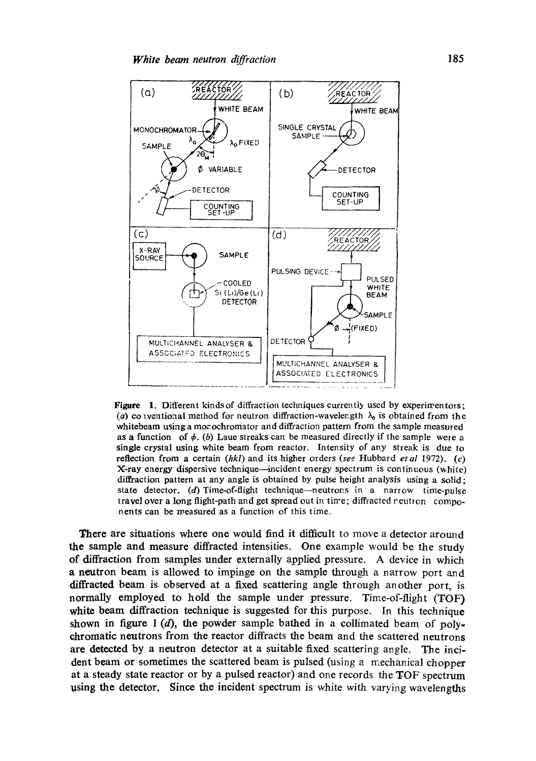

**Figure** 1. Different kinds of diffraction techniques currently used by experimentors; (a) colventional method for neutron diffraction-wavelength  $\lambda_0$  is obtained from the whitebeam using a mor ochromator and diffraction pattern from the sample measured as a function of  $\phi$ . (b) Laue streaks can be measured directly if the sample were a single crystal using white beam from reactor. Intensity of any streak is due to reflection from a certain *(hkl)* and its higher orders *(see* Hubbard *et al* 1972). (c) X-ray energy dispersive technique--incident energy spectrum is continuous (white) diffraction pattern at any angle is obtained by pulse height analysis using a solid; state detector. (d) Time-of-flight technique--neutrons in a narrow time-pulse travel over a long flight-path and get spread out in time; diffracted reutren components can be measured as a function of this time.

There are situations where one would find it difficult to move a detector around the sample and measure diffracted intensities. One example would be the study of diffraction from samples under externally applied pressure. A device in which a neutron beam is allowed to impinge on the sample through a narrow port and diffracted beam is observed at a fixed scattering angle through another port, is normally employed to hold the sample under pressure. Time-of-flight *(TOF)*  white beam diffraction technique is suggested for this purpose. In this technique shown in figure 1 (d), the powder sample bathed in a collimated beam of polychromatic neutrons from the reactor diffracts the beam and the scattered neutrons are detected by a neutron detector at a suitable fixed scattering angle. The incident beam or sometimes the scattered beam is pulsed (using a mechanical chopper at a steady state reactor or by a pulsed reactor) and one records the TOF spectrum using the detector. Since the incident spectrum is white with varying wavelengths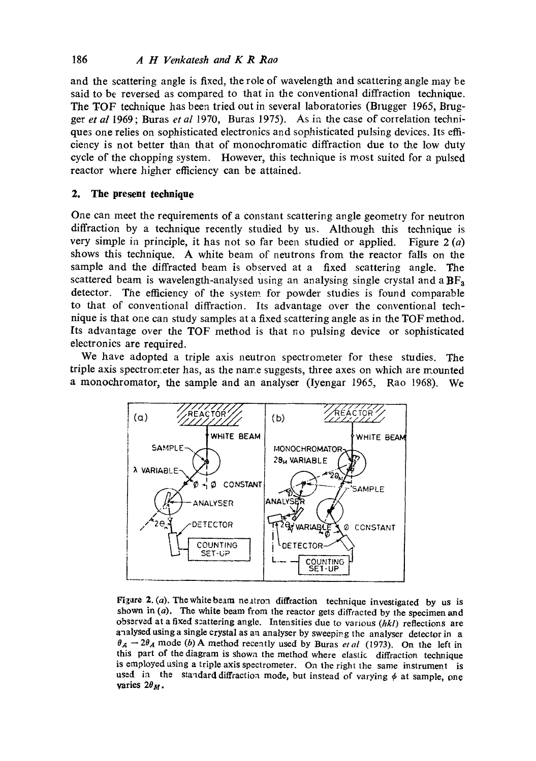and the scattering angle is fixed, the role of wavelength and scattering angle may be said to be reversed as compared to that in the conventional diffraction technique. The TOF technique has been tried out in several laboratories (Brugger 1965, Brugget *et al* 1969; Buras *et al* 1970, Buras 1975). As in the case of correlation techniques one relies on sophisticated electronics and sophisticated pulsing devices. Its efficiency is not better than that of monochromatic diffraction due to the low duty cycle of the chopping system. However, this technique is most suited for a pulsed reactor where higher efficiency can be attained.

## 2. The present technique

One can meet the requirements of a constant scattering angle geometry for neutron diffraction by a technique recently studied by us. Although this technique is very simple in principle, it has not so far been studied or applied. Figure  $2(a)$ shows this technique. A white beam of neutrons from the reactor falls on the sample and the diffracted beam is observed at a fixed scattering angle. The scattered beam is wavelength-analysed using an analysing single crystal and a  $BF<sub>3</sub>$ detector. The efficiency of the system, for powder studies is found comparable to that of conventional diffraction. Its advantage over the conventional technique is that one can study samples at a fixed scattering angle as in the TOF method. Its advantage over the TOF method is that no pulsing device or sophisticated electronics are required.

We have adopted a triple axis neutron spectrometer for these studies. The triple axis spectrometer has, as the name suggests, three axes on which are mounted a monochromator, the sample and an analyser (Iyengar 1965, Rao 1968). We



Figure 2. (a). The white beam neutron diffraction technique investigated by us is shown in  $(a)$ . The white beam from the reactor gets diffracted by the specimen and observed at a fixed s:attering angle. Intensities due to various *(hkl)* reflections are analysed using a single crystal as an analyser by sweeping the analyser detector in a  $\theta_A - 2\theta_A$  mode (b) A method recently used by Buras *et al* (1973). On the left in this part of the diagram is shown the method where elastic diffraction technique is employed using a triple axis spectrometer. On the right the same instrument is used in the standard diffraction mode, but instead of varying  $\phi$  at sample, one varies  $2\theta_M$ .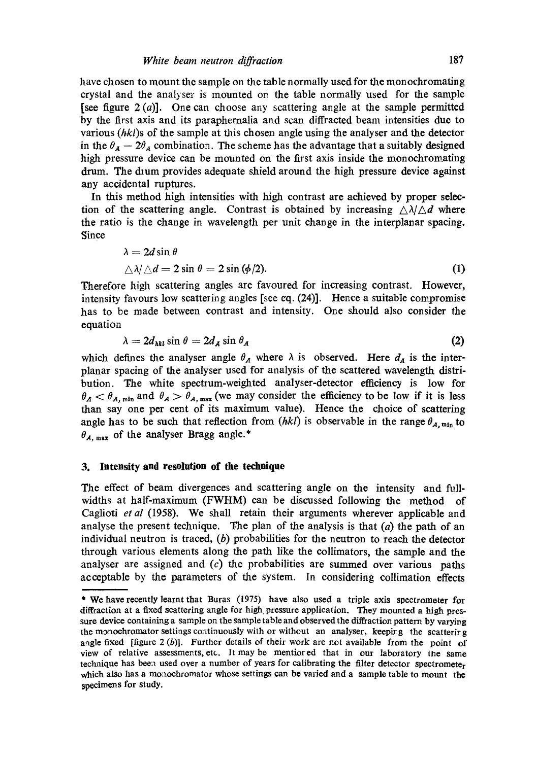have chosen to mount the sample on the table normally used for the monochromating crystal and the analyser is mounted on the table normally used for the sample [see figure  $2(a)$ ]. One can choose any scattering angle at the sample permitted by the first axis and its paraphernalia and scan diffracted beam intensities due to various  $(hkl)$ s of the sample at this chosen angle using the analyser and the detector in the  $\theta_A - 2\theta_A$  combination. The scheme has the advantage that a suitably designed high pressure device can be mounted on the first axis inside the monochromating drum. The dium provides adequate shield around the high pressure device against any accidental ruptures.

In this method high intensities with high contrast are achieved by proper selection of the scattering angle. Contrast is obtained by increasing  $\triangle \lambda / \triangle d$  where the ratio is the change in wavelength per unit change in the interplanar spacing. Since

$$
\lambda = 2d \sin \theta
$$
  
\(\Delta \lambda / \Delta d = 2 \sin \theta = 2 \sin (\phi/2). (1)

Therefore high scattering angles are favoured for increasing contrast. However, intensity favours low scattering angles [see eq. (24)]. Hence a suitable compromise has to be made between contrast and intensity. One should also consider the equation

$$
\lambda = 2d_{\text{hkl}} \sin \theta = 2d_A \sin \theta_A \tag{2}
$$

which defines the analyser angle  $\theta_A$  where  $\lambda$  is observed. Here  $d_A$  is the interplanar spacing of the analyser used for analysis of the scattered wavelength distribution. The white spectrum-weighted analyser-detector efficiency is low for  $\theta_A < \theta_{A, min}$  and  $\theta_A > \theta_{A, max}$  (we may consider the efficiency to be low if it is less than say one per cent of its maximum value). Hence the choice of scattering angle has to be such that reflection from *(hkl)* is observable in the range  $\theta_{A,\text{min}}$  to  $\theta_{A, \text{max}}$  of the analyser Bragg angle.\*

### **3. Intensity and resolution of the technique**

The effect of beam divergences and scattering angle on the intensity and fullwidths at half-maximum (FWHM) can be discussed following the method of Caglioti *et al* (1958). We shall retain their arguments wherever appficable and analyse the present technique. The plan of the analysis is that  $(a)$  the path of an individual neutron is traced,  $(b)$  probabilities for the neutron to reach the detector through various elements along the path like the collimators, the sample and the analyser are assigned and  $(c)$  the probabilities are summed over various paths acceptable by the parameters of the system. In considering collimation effects

<sup>\*</sup> We have recently learnt that Buras (1975) have also used a triple axis spectrometer for diffraction at a fixed scattering angle for high. pressure application. They mounted a high pressure device containing a sample on the sample table and observed the diffraction pattern by varying the monochromator settings continuously with or without an analyser, keepirg the scattering angle fixed [figure  $2(b)$ ]. Further details of their work are not available from the point of view of relative assessments, etc. It may be mentiored that in our laboratory the same technique has beea used over a number of years for calibrating the filter detector spectrometer which also has a monochromator whose settings can be varied and a sample table to mount **the**  specimens for study.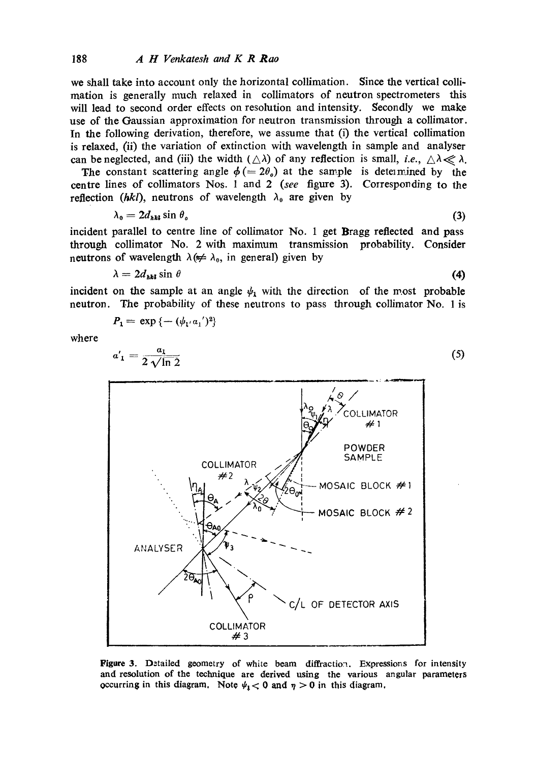we shall take into account only the horizontal collimation. Since the vertical collimation is generally much relaxed in collimators of neutron spectrometers this will lead to second order effects on resolution and intensity. Secondly we make use of the Gaussian approximation for neutron transmission through a collimator. In the following derivation, therefore, we assume that (i) the vertical collimation is relaxed,  $(ii)$  the variation of extinction with wavelength in sample and analyser can be neglected, and (iii) the width  $(\triangle \lambda)$  of any reflection is small, *i.e.*,  $\triangle \lambda \ll \lambda$ .

The constant scattering angle  $\phi (= 2\theta_o)$  at the sample is determined by the centre lines of collimators Nos. 1 and 2 *(see* figure 3). Corresponding to the reflection *(hkl)*, neutrons of wavelength  $\lambda_0$  are given by

$$
\lambda_0 = 2d_{\lambda k l} \sin \theta_o \tag{3}
$$

incident parallel to centre line of collimator No. 1 get Bragg reflected and pass through collimator No. 2 with maximum transmission probability. Consider neutrons of wavelength  $\lambda (\neq \lambda_0)$ , in general) given by

$$
\lambda = 2d_{\text{hkl}} \sin \theta \tag{4}
$$

incident on the sample at an angle  $\psi_1$  with the direction of the most probable neutron. The probability of these neutrons to pass through collimator No. 1 is

$$
P_1 = \exp \{-(\psi_{1'} a_1')^2\}
$$

where

 $\boldsymbol{a}$ 

$$
a'_1 = \frac{a_1}{2\sqrt{\ln 2}}\tag{5}
$$



Figure 3. Detailed geometry of white beam diffraction. Expressions for intensity and resolution of the teclmique are derived using the various angular parameters occurring in this diagram. Note  $\psi_1 < 0$  and  $\eta > 0$  in this diagram.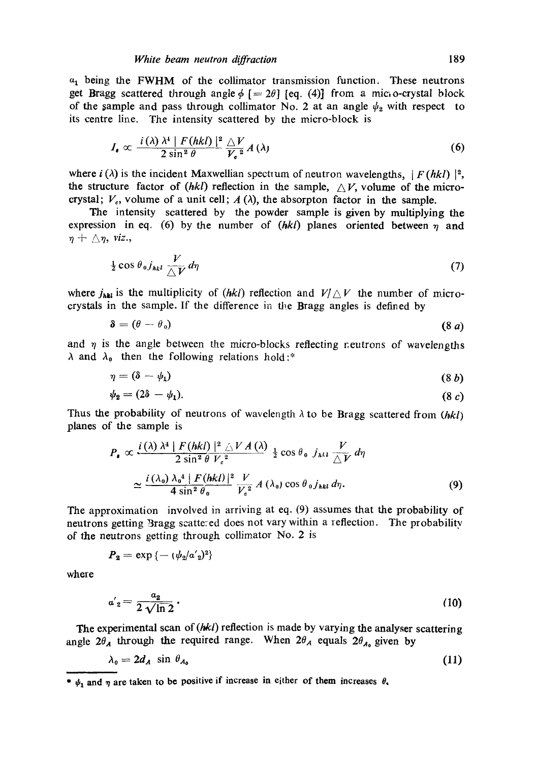$a_1$  being the FWHM of the collimator transmission function. These neutrons get Bragg scattered through angle  $\phi$  [= 2 $\theta$ ] [eq. (4)] from a micro-crystal block of the sample and pass through collimator No. 2 at an angle  $\psi_2$  with respect to its centre line. The intensity scattered by the micro-block is

$$
I_{\bullet} \propto \frac{i(\lambda) \lambda^4 |F(hkl)|^2}{2 \sin^2 \theta} \frac{\triangle V}{V_{\bullet}^2} A(\lambda)
$$
 (6)

where  $i(\lambda)$  is the incident Maxwellian spectrum of neutron wavelengths,  $|F(hkl)|^2$ , the structure factor of *(hkl)* reflection in the sample,  $\triangle V$ , volume of the microcrystal;  $V_c$ , volume of a unit cell;  $A(\lambda)$ , the absorpton factor in the sample.

The intensity scattered by the powder sample is given by multiplying the expression in eq. (6) by the number of  $(hkl)$  planes oriented between  $\eta$  and  $\eta + \triangle \eta$ , *viz.*,

$$
\frac{1}{2}\cos\theta_{0}j_{hkl}\frac{V}{\triangle V}d\eta\tag{7}
$$

where  $j_{\text{init}}$  is the multiplicity of *(hkl)* reflection and  $V/\triangle V$  the number of microcrystals in the sample. If the difference in the Bragg angles is defined by

$$
\delta = (\theta - \theta_0) \tag{8 a}
$$

and  $\eta$  is the angle between the micro-blocks reflecting r.eutrons of wavelengths  $\lambda$  and  $\lambda_0$  then the following relations hold:\*

$$
\eta = (\delta - \psi_1) \tag{8 b}
$$

$$
\psi_2 = (2\delta - \psi_1). \tag{8 c}
$$

Thus the probability of neutrons of wavelength  $\lambda$  to be Bragg scattered from  $(hkl)$ planes of the sample is

$$
P_{\bullet} \propto \frac{i(\lambda) \lambda^4 |F(hkl)|^2 \triangle VA(\lambda)}{2 \sin^2 \theta V_c^2} \frac{1}{2} \cos \theta_0 j_{hkl} \frac{V}{\triangle V} d\eta
$$
  

$$
\approx \frac{i(\lambda_0) \lambda_0^4 |F(hkl)|^2}{4 \sin^2 \theta_0} \frac{V}{V_c^2} A(\lambda_0) \cos \theta_0 j_{hkl} d\eta.
$$
 (9)

The approximation involved in arriving at eq. (9) assumes that the probability of neutrons getting Bragg scattered does not vary within a reflection. The probability of the neutrons getting through collimator No. 2 is

$$
P_2=\exp\left\{-\left(\psi_2/\alpha'_2\right)^2\right\}
$$

where

$$
a'_{2} = \frac{a_{2}}{2\sqrt{\ln 2}}\tag{10}
$$

The experimental scan of (hkl) reflection is made by varying the analyser scattering angle  $2\theta_A$  through the required range. When  $2\theta_A$  equals  $2\theta_{A_0}$  given by

$$
\lambda_0 = 2d_A \sin \theta_{A_0} \tag{11}
$$

<sup>\*</sup>  $\psi_1$  and  $\eta$  are taken to be positive if increase in either of them increases  $\theta$ ,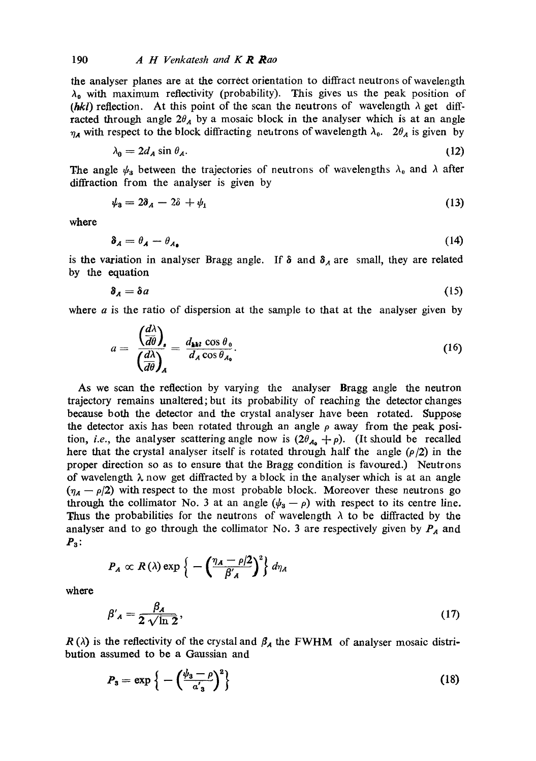the analyser planes are at the correct orientation to diffract neutrons of wavelength  $\lambda_0$  with maximum reflectivity (probability). This gives us the peak position of *(hkl)* reflection. At this point of the scan the neutrons of wavelength  $\lambda$  get diffracted through angle  $2\theta_A$  by a mosaic block in the analyser which is at an angle  $\eta_A$  with respect to the block diffracting neutrons of wavelength  $\lambda_0$ . 2 $\theta_A$  is given by

$$
\lambda_0 = 2d_A \sin \theta_A. \tag{12}
$$

The angle  $\psi_a$  between the trajectories of neutrons of wavelengths  $\lambda_0$  and  $\lambda$  after diffraction from the analyser is given by

$$
\psi_3 = 2\delta_A - 2\delta + \psi_1 \tag{13}
$$

where

$$
\delta_A = \theta_A - \theta_{A_0} \tag{14}
$$

is the variation in analyser Bragg angle. If  $\delta$  and  $\delta_A$  are small, they are related by the equation

$$
\delta_A = \delta a \tag{15}
$$

where  $a$  is the ratio of dispersion at the sample to that at the analyser given by

$$
a = \frac{\left(\frac{d\lambda}{d\theta}\right)_s}{\left(\frac{d\lambda}{d\theta}\right)_A} = \frac{d_{\mathbf{h}kl}\cos\theta_0}{d_A\cos\theta_{A_0}}.
$$
 (16)

**As** we scan the reflection by varying the analyser Bragg angle the neutron trajectory remains unaltered;but its probability of reaching the detector changes because both the detector and the crystal analyser have been rotated. Suppose the detector axis has been rotated through an angle  $\rho$  away from the peak position, *i.e.*, the analyser scattering angle now is  $(2\theta_{A_0} + p)$ . (It should be recalled here that the crystal analyser itself is rotated through half the angle  $(\rho/2)$  in the proper direction so as to ensure that the Bragg condition is favoured.) Neutrons of wavelength  $\lambda$  now get diffracted by a block in the analyser which is at an angle  $(\eta_A - \rho/2)$  with respect to the most probable block. Moreover these neutrons go through the collimator No. 3 at an angle  $(\psi_a - \rho)$  with respect to its centre line. Thus the probabilities for the neutrons of wavelength  $\lambda$  to be diffracted by the analyser and to go through the collimator No. 3 are respectively given by  $P_A$  and  $P_3$ :

$$
P_A \propto R(\lambda) \exp \left\{-\left(\frac{\eta_A - \rho/2}{\beta'_A}\right)^2\right\} d\eta_A
$$

where

$$
\beta'_{A} = \frac{\beta_{A}}{2\sqrt{\ln 2}},\tag{17}
$$

 $R(\lambda)$  is the reflectivity of the crystal and  $\beta_A$  the FWHM of analyser mosaic distribution assumed to be a Gaussian and

$$
P_3 = \exp\left\{-\left(\frac{\psi_3 - \rho}{\alpha'_3}\right)^2\right\} \tag{18}
$$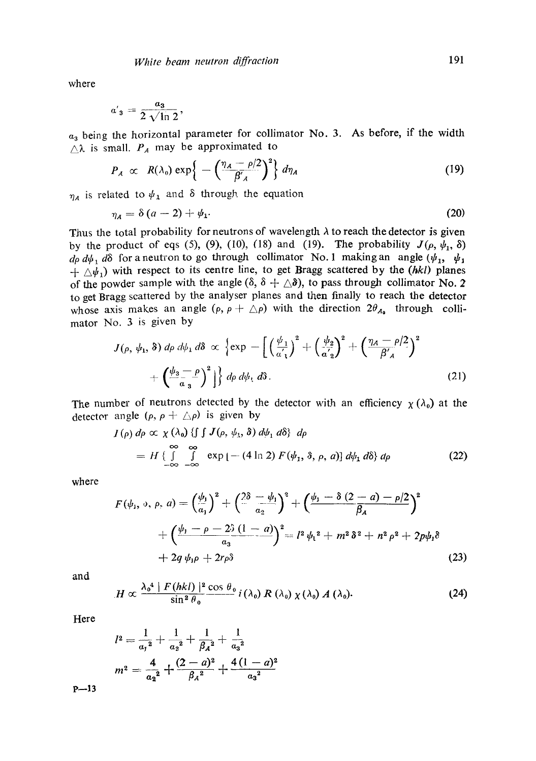where

$$
a'_{3}=\frac{a_{3}}{2\sqrt{\ln 2}},
$$

 $a_3$  being the horizontal parameter for collimator No. 3. As before, if the width  $\triangle\lambda$  is small.  $P_A$  may be approximated to

$$
P_A \propto R(\lambda_0) \exp\left\{-\left(\frac{\eta_A - \rho/2}{\beta'_A}\right)^2\right\} d\eta_A
$$
 (19)

 $\eta_A$  is related to  $\psi_A$  and  $\delta$  through the equation

$$
\eta_A = \delta \left( a - 2 \right) + \psi_1. \tag{20}
$$

Thus the total probability for neutrons of wavelength  $\lambda$  to reach the detector is given by the product of eqs (5), (9), (10), (18) and (19). The probability  $J(\rho, \psi_1, \delta)$  $d\rho \, d\psi_1$ ,  $d\delta$  for a neutron to go through collimator No. 1 making an angle  $(\psi_1, \psi_1)$  $+ \Delta \psi_1$ ) with respect to its centre line, to get Bragg scattered by the *(hkl)* planes of the powder sample with the angle  $(\delta, \delta + \Delta\delta)$ , to pass through collimator No. 2 to get Bragg scattered by the analyser planes and then finally to reach the detector whose axis makes an angle  $(\rho, \rho + \triangle \rho)$  with the direction  $2\theta_{A_0}$  through collimator No. 3 is given by

$$
J(\rho, \psi_1, \delta) d\rho d\psi_1 d\delta \propto \left\{ \exp - \left[ \left( \frac{\psi_1}{a_1'} \right)^2 + \left( \frac{\psi_2}{a_2'} \right)^2 + \left( \frac{\eta_A - \rho}{\beta_A'} \right)^2 \right] + \left( \frac{\psi_3 - \rho}{\alpha_3} \right)^2 \right\} d\rho d\psi_1 d\delta.
$$
 (21)

The number of neutrons detected by the detector with an efficiency  $\chi(\lambda_0)$  at the detector angle  $(\rho, \rho + \triangle \rho)$  is given by

$$
I(\rho) d\rho \propto \chi(\lambda_0) \{ \int \int J(\rho, \psi_1, \delta) d\psi_1 d\delta \} d\rho
$$
  
=  $H \{ \int \int \int \int \exp[-(4 \ln 2) F(\psi_1, \delta, \rho, a)] d\psi_1 d\delta \} d\rho$  (22)

where

$$
F(\psi_1, \, \phi, \, \rho, \, a) = \left(\frac{\psi_1}{a_1}\right)^2 + \left(\frac{2\delta - \psi_1}{a_2}\right)^2 + \left(\frac{\psi_1 - \delta(2 - a) - \rho/2}{\beta_A}\right)^2 + \left(\frac{\psi_1 - \rho - 2\delta(1 - a)}{a_3}\right)^2 = l^2 \psi_1^2 + m^2 \delta^2 + n^2 \rho^2 + 2p\psi_1\delta + 2q \psi_1\rho + 2r\rho\delta
$$
 (23)

and

$$
H \propto \frac{\lambda_0^4 \mid F(hkl) \mid^2 \cos \theta_0}{\sin^2 \theta_0} i(\lambda_0) R(\lambda_0) \chi(\lambda_0) A(\lambda_0).
$$
 (24)

Here

$$
l^{2} = \frac{1}{a_{1}^{2}} + \frac{1}{a_{2}^{2}} + \frac{1}{\beta_{A}^{2}} + \frac{1}{a_{3}^{2}}
$$

$$
m^{2} = \frac{4}{a_{2}^{2}} + \frac{(2-a)^{2}}{\beta_{A}^{2}} + \frac{4(1-a)^{2}}{a_{3}^{2}}
$$

**P--13**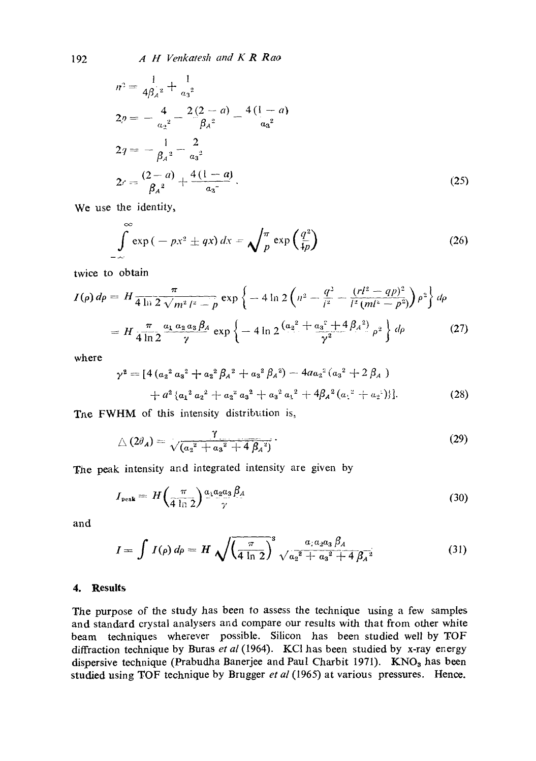$$
n^{2} = \frac{1}{4\beta_{A}^{2}} + \frac{1}{a_{3}^{2}}
$$
  
\n
$$
2p = -\frac{4}{a_{2}^{2}} - \frac{2(2-a)}{\beta_{A}^{2}} - \frac{4(1-a)}{a_{3}^{2}}
$$
  
\n
$$
2q = -\frac{1}{\beta_{A}^{2}} - \frac{2}{a_{3}^{2}}
$$
  
\n
$$
2r = \frac{(2-a)}{\beta_{A}^{2}} + \frac{4(1-a)}{a_{3}^{2}}.
$$
\n(25)

We use the identity,

$$
\int_{-\infty}^{\infty} \exp\left(-px^2 \pm qx\right) dx = \sqrt{\frac{\pi}{p}} \exp\left(\frac{q^2}{4p}\right)
$$
 (26)

twice to obtain

$$
I(\rho) d\rho = H \frac{\pi}{4 \ln 2 \sqrt{m^2 l^2 - \rho}} \exp \left\{ -4 \ln 2 \left( n^2 - \frac{q^2}{l^2} - \frac{(r l^2 - q \rho)^2}{l^2 (m l^2 - \rho^2)} \right) \rho^2 \right\} d\rho
$$
  
=  $H \frac{\pi}{4 \ln 2} \frac{a_1 a_2 a_3 \beta_4}{\gamma} \exp \left\{ -4 \ln 2 \frac{(a_2^2 + a_3^2 + 4 \beta_4^2)}{\gamma^2} \rho^2 \right\} d\rho$  (27)

where

$$
\gamma^{2} = [4(a_{2}^{2} a_{3}^{2} + a_{2}^{2} \beta_{A}^{2} + a_{3}^{2} \beta_{A}^{2}) - 4a_{2}^{2}(a_{3}^{2} + 2 \beta_{A})
$$
  
+ 
$$
a_{2}^{2} \{a_{1}^{2} a_{2}^{2} + a_{2}^{2} a_{3}^{2} + a_{3}^{2} a_{1}^{2} + 4\beta_{A}^{2}(a_{1}^{2} + a_{2}^{2})\}].
$$
 (28)

The FWHM of this intensity distribution is,

$$
\triangle (2\theta_A) = \frac{\gamma}{\sqrt{a_2{}^2 + a_3{}^2 + 4\beta_A{}^2}}.
$$
\n(29)

The peak intensity and integrated intensity are given by

$$
I_{\text{peak}} = H\left(\frac{\pi}{4 \ln 2}\right) \frac{a_1 a_2 a_3 \beta_A}{\gamma} \tag{30}
$$

and

$$
I = \int I(\rho) d\rho = H \sqrt{\left(\frac{\pi}{4 \ln 2}\right)^3} \frac{a_1 a_2 a_3 \beta_A}{\sqrt{a_2^2 + a_3^2 + 4 \beta_A^2}}
$$
(31)

## **4. Results**

The purpose of the study has been to assess the technique using a few samples and standard crystal analysers and compare our results with that from other white beam techniques wherever possible. Silicon has been studied well by TOF diffraction technique by Buras *et al* (1964). KC1 has been studied by x-ray energy dispersive technique (Prabudha Banerjee and Paul Charbit 1971). KNO<sub>3</sub> has been studied using TOF technique by Brugger *et al* (1965) at various pressures. Hence.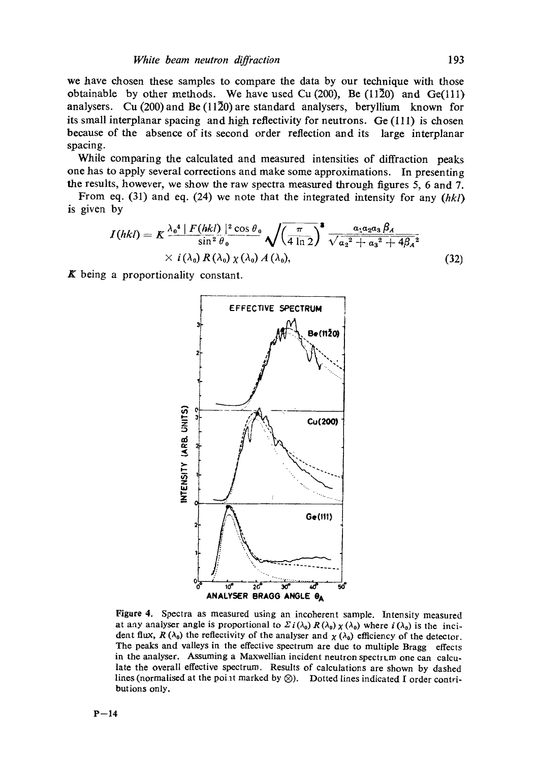we have chosen these samples to compare the data by our technique with those obtainable by other methods. We have used Cu  $(200)$ , Be  $(11\overline{2}0)$  and Ge(111) analysers. Cu (200) and Be (1130) are standard analysers, beryllium known for its small interplanar spacing and high reflectivity for neutrons. Ge (111) is chosen because of the absence of its second order reflection and its large interplanar spacing.

While comparing the calculated and measured intensities of diffraction peaks one has to apply several corrections and make some approximations. In presenting the results, however, we show the raw spectra measured through figures 5, 6 and 7.

From eq. (31) and eq. (24) we note that the integrated intensity for any *(hkl)*  is given by

$$
I(hkl) = K \frac{\lambda_0^4 \mid F(hkl) \mid^2 \cos \theta_0}{\sin^2 \theta_0} \sqrt{\left(\frac{\pi}{4 \ln 2}\right)^2} \frac{a_1 a_2 a_3 \beta_A}{\sqrt{a_2^2 + a_3^2 + 4\beta_A^2}} \times i(\lambda_0) R(\lambda_0) \chi(\lambda_0) A(\lambda_0), \tag{32}
$$

 $\boldsymbol{K}$  being a proportionality constant.



Figure 4. Spectra as measured using an incoherent sample. Intensity measured at any analyser angle is proportional to  $\Sigma i(\lambda_0) R(\lambda_0) \chi(\lambda_0)$  where  $i(\lambda_0)$  is the incident flux,  $R(\lambda_0)$  the reflectivity of the analyser and  $\chi(\lambda_0)$  efficiency of the detector. The peaks and valleys in the effective spectrum are due to multiple Bragg effects in the analyser. Assuming a Maxwellian incident neutron spectrum one can calculate the overall effective spectrum. Results of calculations are shown by dashed lines (normalised at the point marked by  $\otimes$ ). Dotted lines indicated I order contributions only.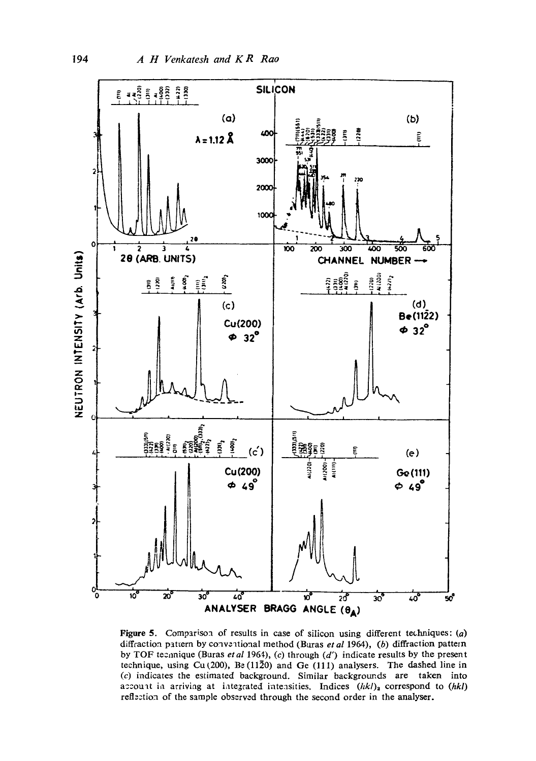

Figure 5. Comparison of results in case of silicon using different techniques: (a) diffraction pattern by conventional method (Buras *et al* 1964), (b) diffraction pattern by TOF teennique (Buras *et al* 1964), (c) through (d') indicate results by the present technique, using Cu(200), Be (1120) and Ge (111) analysers. The dashed line in  $(c)$  indicates the estimated background. Similar backgrounds are taken into account in arriving at integrated intensities. Indices  $(hkl)_2$  correspond to  $(hkl)$ reflection of the sample observed through the second order in the analyser.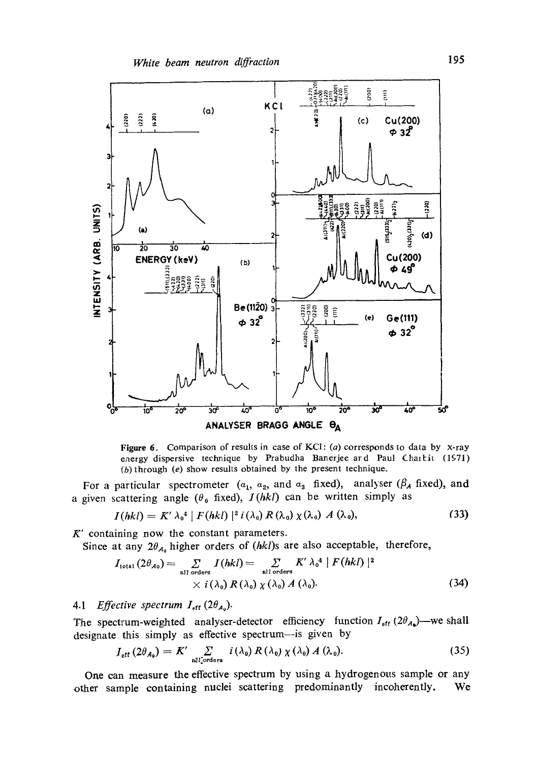

Figure 6. Comparison of results in case of KCI: (a) corresponds to data by x-ray energy dispersive technique by Prabudha Banerjee ard Paul Chartit (1971) (b) through (e) show results obtained by the present technique.

For a particular spectrometer  $(a_1, a_2, \text{ and } a_3 \text{ fixed})$ , analyser  $(\beta_A~ \text{fixed})$ , and a given scattering angle ( $\theta_0$  fixed),  $I(hkl)$  can be written simply as

$$
I(hkl) = K' \lambda_0^4 |F(hkl)|^2 i(\lambda_0) R(\lambda_0) \chi(\lambda_0) A(\lambda_0), \qquad (33)
$$

 $K'$  containing now the constant parameters.

Since at any  $2\theta_{A_0}$  higher orders of *(hkl)s* are also acceptable, therefore,

$$
I_{\text{total}}(2\theta_{A_0}) = \sum_{\text{all orders}} I(hkl) = \sum_{\text{all orders}} K' \lambda_0^4 |F(hkl)|^2
$$
  
  $\times i(\lambda_0) R(\lambda_0) \chi(\lambda_0) A(\lambda_0).$  (34)

# 4.1 *Effective spectrum*  $I_{\text{eff}}$  (2 $\theta_{A_0}$ ).

The spectrum-weighted analyser-detector efficiency function  $I_{\text{eff}}$  (2 $\theta_{A_0}$ )—we shall designate this simply as effective spectrum--is given by

$$
I_{\text{eff}}\left(2\theta_{A_0}\right) = K' \sum_{\text{all}\text{orders}} i\left(\lambda_0\right) R\left(\lambda_0\right) \chi\left(\lambda_0\right) A\left(\lambda_0\right). \tag{35}
$$

One can measure the effective spectrum by using a hydrogenous sample or any other sample containing nuclei scattering predominantly incoherently. We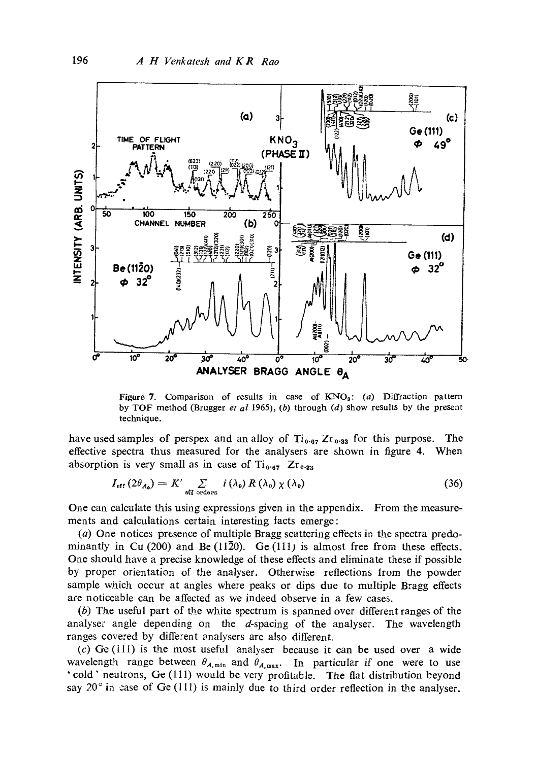

Figure 7. Comparison of results in case of  $KNO<sub>3</sub>$ : (a) Diffraction pattern by TOF method (Brugger *et al* 1965), (b) through (d) show results by the present technique.

have used samples of perspex and an alloy of  $Ti_{0.67} Zr_{0.33}$  for this purpose. The effective spectra thus measured for the analysers are shown in figure 4. When absorption is very small as in case of  $Ti_{0.67}$  Zr<sub>0.33</sub>

$$
I_{\rm eff} (2\theta_{A_0}) = K' \sum_{\rm all\ orders} i (\lambda_0) R (\lambda_0) \chi (\lambda_0)
$$
 (36)

One can calculate this using expressions given in the appendix. From the measurements and calculations certain interesting tacts emerge:

(a) One notices presence of multiple Bragg scattering effects in the spectra predominantly in Cu (200) and Be  $(11\overline{2}0)$ . Ge  $(111)$  is almost free from these effects. One should have a precise knowledge of these effects and eliminate these if possible by proper orientation of the analyser. Otherwise reflections trom the powder sample which occur at angles where peaks or dips due to multiple Bragg effects are noticeable can be affected as we indeed observe in a few cases.

(b) The useful part of the white spectrum is spanned over different ranges of the analyser angle depending on the d-spacing of the analyser. The wavelength ranges covered by different analysers are also different.

(c) Ge  $(111)$  is the most useful analyser because it can be used over a wide wavelength range between  $\theta_{A,\text{min}}$  and  $\theta_{A,\text{max}}$ . In particular if one were to use 'cold' neutrons, Ge (111) would be very profitable. The flat distribution beyond say  $20^\circ$  in case of Ge (111) is mainly due to third order reflection in the analyser.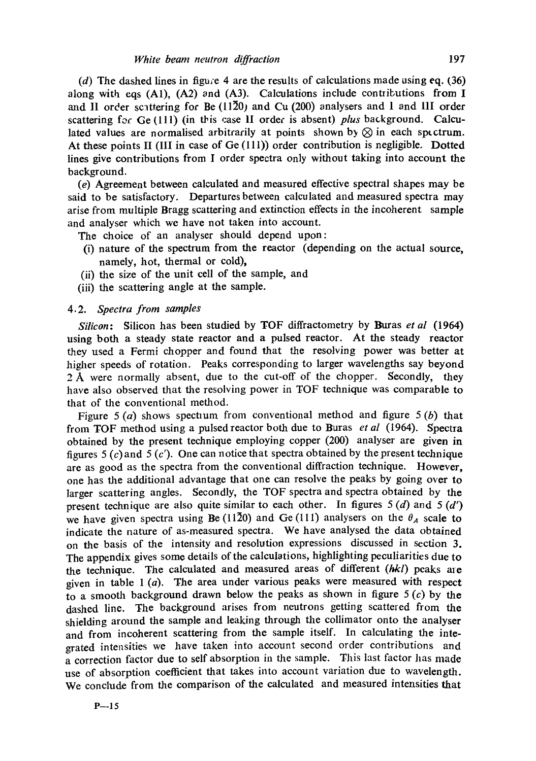(d) The dashed lines in figu;e 4 are the results of calculations made using eq. (36) along with eqs (A1), (A2) and (A3). Calculations include contributions from I and I1 order sclttering for Be (1130) and Cu (200) analysers and 1 and llI order scattering for Ge (111) (in this case II order is absent) *plus* background. Calculated values are normalised arbitrarily at points shown by  $\otimes$  in each spectrum. At these points II (III in case of Ge (111)) order contribution is negligible. Dotted lines give contributions from I order spectra only without taking into account the background.

(e) Agreement between calculated and measured effective spectral shapes may be said to be satisfactory. Departures between calculated and measured spectra may arise from multiple Bragg scattering and extinction effects in the incoherent sample and analyser which we have not taken into account.

The choice of an analyser should depend upon:

- (i) nature of the spectrum from the reactor (depending on the actual source, namely, hot, thermal or cold),
- (ii) the size of the unit cell of the sample, and
- (iii) the scattering angle at the sample.

### *4.2. Spectra from samples*

*Silicon:* Silicon has been studied by TOF diffractometry by Buras *et al* (1964) using both a steady state reactor and a pulsed reactor. At the steady reactor they used a Fermi chopper and found that the resolving power was better at higher speeds of rotation. Peaks corresponding to larger wavelengths say beyond 2 Å were normally absent, due to the cut-off of the chopper. Secondly, they have also observed that the resolving power in TOF technique was comparable to that of the conventional method.

Figure 5 (a) shows spectrum from conventional method and figure 5 (b) that from TOF method using a pulsed reactor both due to Buras *et al* (1964). Spectra obtained by the present technique employing copper (200) analyser are given in figures 5  $(c)$  and 5  $(c')$ . One can notice that spectra obtained by the present technique are as good as the spectra from the conventional diffraction technique. However, one has the additional advantage that one can resolve the peaks by going over to larger scattering angles. Secondly, the TOF spectra and spectra obtained by the present technique are also quite similar to each other. In figures  $5(d)$  and  $5(d')$ we have given spectra using Be (1120) and Ge (111) analysers on the  $\theta_A$  scale to indicate the nature of as-measured spectra. We have analysed the data obtained on the basis of the intensity and resolution expressions discussed in section 3. The appendix gives some details of the calculations, highlighting peculiarities due to the technique. The calculated and measured areas of different *(hkl)* peaks are given in table  $1(a)$ . The area under various peaks were measured with respect to a smooth background drawn below the peaks as shown in figure  $5(c)$  by the dashed line. The background arises from neutrons getting scattered from the shielding around the sample and leaking through the collimator onto the analyser and from incoherent scattering from the sample itself. In calculating the integrated intensities we have taken into account second order contributions and a correction factor due to self absorption in the sample. This last factor has made use of absorption coefficient that takes into account variation due to wavelength. We conclude from the comparison of the calculated and measured intensities that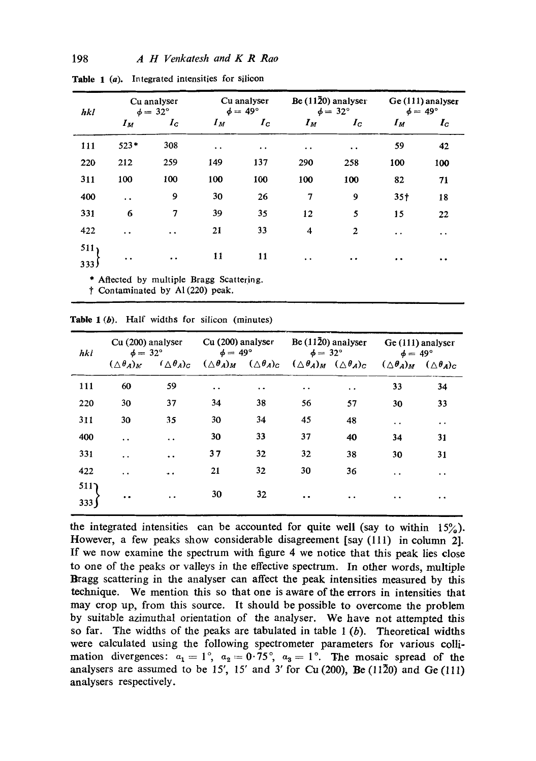| hkl                      | Cu analyser<br>$\phi = 32^{\circ}$ |                      | Cu analyser<br>$\phi = 49^{\circ}$ |                  | Be $(11\overline{2}0)$ analyser<br>$\phi = 32^{\circ}$ |                      | Ge (111) analyser<br>$\phi = 49^{\circ}$ |                            |
|--------------------------|------------------------------------|----------------------|------------------------------------|------------------|--------------------------------------------------------|----------------------|------------------------------------------|----------------------------|
|                          | $I_M$                              | $I_c$                | $I_M$                              | $I_c$            | $I_M$                                                  | $I_c$                | $I_M$                                    | $I_{\scriptscriptstyle C}$ |
| 111                      | $523*$                             | 308                  | $\bullet$                          | $\ddot{\bullet}$ | $\bullet$ . $\bullet$                                  | $\ddot{\phantom{1}}$ | 59                                       | 42                         |
| 220                      | 212                                | 259                  | 149                                | 137              | 290                                                    | 258                  | 100                                      | 100                        |
| 311                      | 100                                | 100                  | 100                                | 100              | 100                                                    | 100                  | 82                                       | 71                         |
| 400                      | $\ddot{\phantom{0}}$               | 9                    | 30                                 | 26               | 7                                                      | 9                    | 35 <sup>†</sup>                          | 18                         |
| 331                      | 6                                  | 7                    | 39                                 | 35               | 12                                                     | 5                    | 15                                       | 22                         |
| 422                      | $\bullet$ $\bullet$                | $\ddot{\phantom{0}}$ | 21                                 | 33               | 4                                                      | $\overline{c}$       | $\ddot{\phantom{0}}$                     | $\ddot{\phantom{0}}$       |
| 511,<br>333 <sup>1</sup> | $\bullet$                          | $\bullet$            | 11                                 | 11               | $\ddot{\phantom{1}}$                                   | $\bullet$            | $\cdot$ .                                | $\ddot{\phantom{0}}$       |

Table 1 (a). Integrated intensities for silicon

Affected by multiple Bragg Scattering.

t Contaminated by AI (220) peak.

Table 1 (b). Half widths for silicon (minutes)

| h <sub>k</sub> | Cu (200) analyser<br>$\phi = 32^{\circ}$ |                          | Cu (200) analyser<br>$\phi = 49^{\circ}$ |                          | Be $(11\overline{2}0)$ analyser<br>$\phi = 32^{\circ}$ |                          | Ge (111) analyser<br>$\phi = 49^{\circ}$ |                          |
|----------------|------------------------------------------|--------------------------|------------------------------------------|--------------------------|--------------------------------------------------------|--------------------------|------------------------------------------|--------------------------|
|                | $(\triangle \theta_A)_M$                 | $(\triangle \theta_A)_C$ | $(\triangle \theta_A)_M$                 | $(\triangle \theta_A)_C$ | $(\triangle \theta_A)_M$                               | $(\triangle \theta_A)_C$ | $(\triangle \theta_A)_M$                 | $(\triangle \theta_A)_C$ |
| 111            | 60                                       | 59                       | $\ddot{\phantom{a}}$                     | $\ddot{\phantom{1}}$     | $\ddot{\phantom{a}}$                                   | $\ddot{\phantom{0}}$     | 33                                       | 34                       |
| 220            | 30                                       | 37                       | 34                                       | 38                       | 56                                                     | 57                       | 30                                       | 33                       |
| 311            | 30                                       | 35                       | 30                                       | 34                       | 45                                                     | 48                       | $\ddot{\phantom{0}}$                     | $\ddot{\phantom{0}}$     |
| 400            | $\ddot{\phantom{0}}$                     | $\ddot{\phantom{1}}$     | 30                                       | 33                       | 37                                                     | 40                       | 34                                       | 31                       |
| 331            | $\ddot{\phantom{0}}$                     | $\ddot{\phantom{0}}$     | 37                                       | 32                       | 32                                                     | 38                       | 30                                       | 31                       |
| 422            | $\ddot{\phantom{a}}$                     | $\bullet$                | 21                                       | 32                       | 30                                                     | 36                       | $\ddot{\phantom{1}}$                     | $\ddot{\phantom{0}}$     |
| 511<br>333     | $\bullet$                                | $\ddot{\phantom{0}}$     | 30                                       | 32                       | $\cdot$ .                                              | $\ddot{\phantom{0}}$     | $\cdot$ $\cdot$                          | . .                      |

the integrated intensities can be accounted for quite well (say to within  $15\%$ ). However, a few peaks show considerable disagreement [say (111) in column 2]. If we now examine the spectrum with figure 4 we notice that this peak lies close to one of the peaks or valleys in the effective spectrum. In other words, multiple Bragg scattering in the analyser can affect the peak intensities measured by this technique. We mention this so that one is aware of the errors in intensities that may crop up, from this source. It should be possible to overcome the problem by suitable azimuthal orientation of the analyser. We have not attempted this so far. The widths of the peaks are tabulated in table  $1(b)$ . Theoretical widths were calculated using the following spectrometer parameters for various collimation divergences:  $a_1 = 1^{\circ}$ ,  $a_2 = 0.75^{\circ}$ ,  $a_3 = 1^{\circ}$ . The mosaic spread of the analysers are assumed to be  $15'$ ,  $15'$  and  $3'$  for Cu (200), Be (1120) and Ge (111) analysers respectively.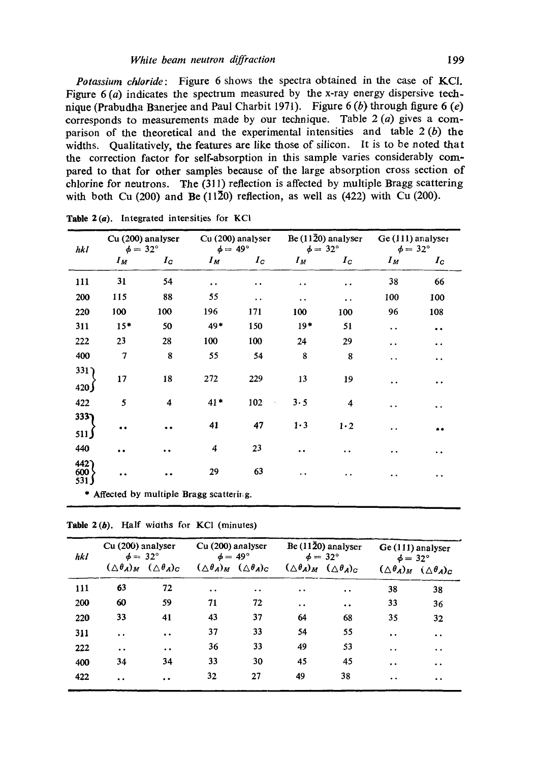*Potassium chloride:* Figure 6 shows the spectra obtained in the case of KCI. Figure  $6(a)$  indicates the spectrum measured by the x-ray energy dispersive technique (Prabudha Banerjee and Paul Charbit 1971). Figure 6 (b) through figure 6 (e) corresponds to measurements made by our technique. Table 2 (a) gives a comparison of the theoretical and the experimental intensities and table  $2(b)$  the widths. Qualitatively, the features are like those of silicon. It is to be noted that the correction factor for self-absorption in this sample varies considerably compared to that for other samples because of the large absorption cross section of chlorine for neutrons. The (311) reflection is affected by multiple Bragg scattering with both Cu (200) and Be (1120) reflection, as well as  $(422)$  with Cu (200).

| Cu (200) analyser<br>hkl<br>$\phi = 32^{\circ}$ |       | $\phi = 49^{\circ}$ | Cu (200) analyser    | Be $(11\overline{2}0)$ analyser<br>$\phi = 32^{\circ}$ |                      |                      | Ge (111) analyser<br>$\phi = 32^{\circ}$ |                      |
|-------------------------------------------------|-------|---------------------|----------------------|--------------------------------------------------------|----------------------|----------------------|------------------------------------------|----------------------|
|                                                 | $I_M$ | $I_{\tt C}$         | $I_M$                | $I_c$                                                  | $I_M$                | $I_c$                | $I_M$                                    | $I_{\rm C}$          |
| 111                                             | 31    | 54                  | $\ddot{\phantom{0}}$ | $\cdot$ $\cdot$                                        | $\ddot{\phantom{a}}$ | $\ddot{\phantom{0}}$ | 38                                       | 66                   |
| 200                                             | 115   | 88                  | 55                   | $\ddot{\phantom{0}}$                                   | $\cdot$ .            | $\ddot{\phantom{1}}$ | 100                                      | 100                  |
| 220                                             | 100   | 100                 | 196                  | 171                                                    | 100                  | 100                  | 96                                       | 108                  |
| 311                                             | $15*$ | 50                  | 49*                  | 150                                                    | $19*$                | 51                   | $\ddot{\phantom{0}}$                     | . .                  |
| 222                                             | 23    | 28                  | 100                  | 100                                                    | 24                   | 29                   | $\ddot{\phantom{0}}$                     | . .                  |
| 400                                             | 7     | 8                   | 55                   | 54                                                     | 8                    | 8                    | . .                                      | $\ddot{\phantom{0}}$ |
| 331)<br>420                                     | 17    | 18                  | 272                  | 229                                                    | 13                   | 19                   | $\ddot{\phantom{1}}$                     | $\ddot{\phantom{1}}$ |
| 422                                             | 5     | 4                   | $41*$                | 102                                                    | 3.5                  | 4                    | . .                                      | . .                  |
| $333$ ]<br>511                                  | . .   |                     | 41                   | 47                                                     | $1-3$                | 1.2                  | $\ddot{\phantom{0}}$                     |                      |
| 440                                             | . .   |                     | 4                    | 23                                                     | $\ddot{\phantom{0}}$ | $\ddot{\phantom{0}}$ | . .                                      | . .                  |
| 442)<br>600<br>531)                             | . .   |                     | 29                   | 63                                                     | . .                  | . .                  | $\bullet\bullet$                         | . .                  |
| Affected by multiple Bragg scattering.<br>٠     |       |                     |                      |                                                        |                      |                      |                                          |                      |

**Table** 2(a). Integrated intensities for KCI

|  |  |  |  |  |  | Table 2(b). Half widths for KCl (minutes) |
|--|--|--|--|--|--|-------------------------------------------|
|--|--|--|--|--|--|-------------------------------------------|

| hkl | Cu (200) analyser<br>$\phi = 32^{\circ}$ |                          | Cu (200) analyser<br>$\phi = 49^{\circ}$ |                          | Be (1120) analyser<br>$\phi = 32^{\circ}$     |                          | Ge (111) analyser<br>$\phi = 32^{\circ}$ |                                |
|-----|------------------------------------------|--------------------------|------------------------------------------|--------------------------|-----------------------------------------------|--------------------------|------------------------------------------|--------------------------------|
|     | $(\triangle \theta_A)_M$                 | $(\triangle \theta_A)_C$ | $(\triangle \theta_A)_M$                 | $(\triangle \theta_A)_C$ | $(\triangle \theta_A)_M$                      | $(\triangle \theta_A)_C$ | $(\triangle \theta_A)_M$                 | $(\triangle \theta_A)_{\rm C}$ |
| 111 | 63                                       | 72                       | $\cdot$ $\cdot$                          | $\ddot{\phantom{a}}$     | $\ddot{\phantom{a}}$                          | $\cdot$ $\cdot$          | 38                                       | 38                             |
| 200 | 60                                       | 59                       | 71                                       | 72                       | $\bullet\hspace{0.1cm} \bullet\hspace{0.1cm}$ | $\cdot$                  | 33                                       | 36                             |
| 220 | 33                                       | 41                       | 43                                       | 37                       | 64                                            | 68                       | 35                                       | 32                             |
| 311 | $\ddot{\phantom{a}}$                     | $\ddot{\phantom{0}}$     | 37                                       | 33                       | 54                                            | 55                       | $\bullet$ $\bullet$                      | $\ddot{\phantom{0}}$           |
| 222 | $\ddot{\phantom{0}}$                     | $\cdot$ $\cdot$          | 36                                       | 33                       | 49                                            | 53                       | $\ddot{\phantom{0}}$                     | $\bullet$                      |
| 400 | 34                                       | 34                       | 33                                       | 30                       | 45                                            | 45                       | $\bullet$                                | $\ddot{\phantom{1}}$           |
| 422 | $\ddot{\phantom{0}}$                     | $\cdot$ $\cdot$          | 32                                       | 27                       | 49                                            | 38                       | $\cdot$ $\cdot$                          | $\cdot$ .                      |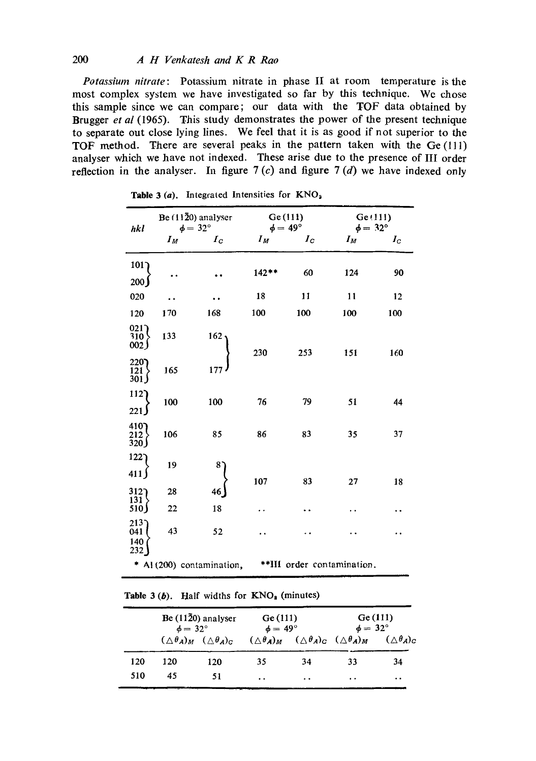## *200 A H Venkatesh and K R Rao*

*Potassium nitrate:* Potassium nitrate in phase II at room temperature is the most complex system we have investigated so far by this technique. We chose this sample since we can compare; our data with the TOF data obtained by Brugger *et al* (1965). This study demonstrates the power of the present technique to separate out close lying lines. We feel that it is as good if not superior to the TOF method. There are several peaks in the pattern taken with the Ge(111) analyser which we have not indexed. These arise due to the presence of III order reflection in the analyser. In figure  $7(c)$  and figure  $7(d)$  we have indexed only

| hkl                       |       | Be $(11\overline{2}0)$ analyser<br>$\phi = 32^{\circ}$ |         | Ge(111)<br>$\phi = 49^{\circ}$ | Ge(111)<br>$\phi = 32^{\circ}$ |             |
|---------------------------|-------|--------------------------------------------------------|---------|--------------------------------|--------------------------------|-------------|
|                           | $I_M$ | $I_{\rm{C}}$                                           | $I_M$   | $I_{\rm C}$                    | $I_M$                          | $I_{\rm C}$ |
| 101<br>200                |       |                                                        | $142**$ | 60                             | 124                            | 90          |
| 020                       |       |                                                        | 18      | 11                             | 11                             | 12          |
| 120                       | 170   | 168                                                    | 100     | 100                            | 100                            | 100         |
| 021<br>310<br>002         | 133   | 162                                                    | 230     | 253                            | 151                            | 160         |
| 220<br>121.<br>301        | 165   | 177                                                    |         |                                |                                |             |
| 112)<br>221)              | 100   | 100                                                    | 76      | 79                             | 51                             | 44          |
| 4107<br>$\frac{212}{320}$ | 106   | 85                                                     | 86      | 83                             | 35                             | 37          |
| 122<br>411                | 19    | 8.                                                     | 107     | 83                             | 27                             | 18          |
| $312$ ]                   | 28    | 46                                                     |         |                                |                                |             |
| 131<br>510)               | 22    | 18                                                     | . .     |                                |                                |             |
| 213<br>041<br>140<br>232  | 43    | 52                                                     |         |                                |                                |             |
|                           |       | * Al (200) contamination,                              |         |                                | **III order contamination.     |             |

Table 3 (a). Integrated Intensities for KNO<sub>2</sub>

| <b>Table 3 (b).</b> Half widths for $KNO_2$ (minutes) |  |
|-------------------------------------------------------|--|
|-------------------------------------------------------|--|

|     | Be $(11\overline{2}0)$ analyser<br>$\phi = 32^{\circ}$ |     |     | Ge(111)<br>Ge(111)<br>$\phi = 32^{\circ}$<br>$\phi = 49^{\circ}$ |                                                                                                     |           |
|-----|--------------------------------------------------------|-----|-----|------------------------------------------------------------------|-----------------------------------------------------------------------------------------------------|-----------|
|     | $(\triangle \theta_A)_M$ $(\triangle \theta_A)_C$      |     |     |                                                                  | $(\triangle \theta_A)_M$ $(\triangle \theta_A)_C$ $(\triangle \theta_A)_M$ $(\triangle \theta_A)_C$ |           |
| 120 | 120                                                    | 120 | 35  | 34                                                               | 33                                                                                                  | 34        |
| 510 | 45                                                     | 51  | . . | $\cdot$ .                                                        | . .                                                                                                 | $\cdot$ . |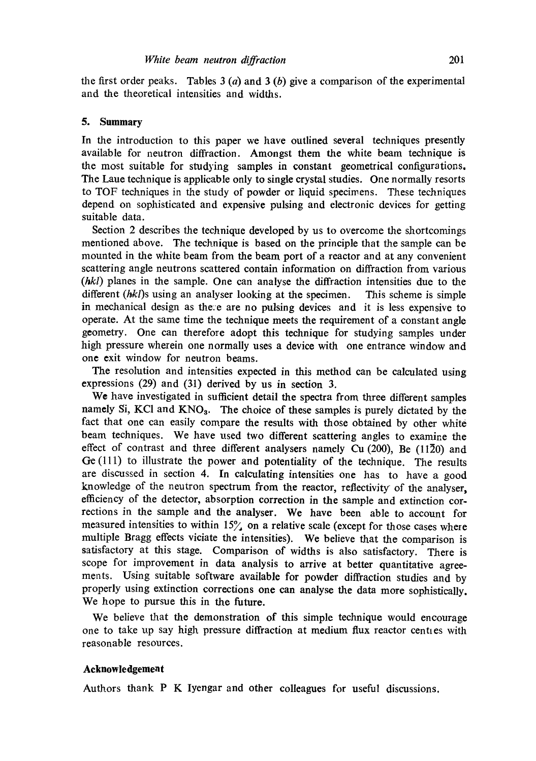the first order peaks. Tables  $3(a)$  and  $3(b)$  give a comparison of the experimental and the theoretical intensities and widths.

### **5. Summary**

In the introduction to this paper we have outlined several techniques presently available for neutron diffraction. Amongst them the white beam technique is the most suitable for studying samples in constant geometrical configurations. The Laue technique is applicable only to single crystal studies. One normally resorts to TOF techniques in the study of powder or liquid specimens. These techniques depend on sophisticated and expensive pulsing and electronic devices for getting suitable data.

Section 2 describes the technique developed by us to overcome the shortcomings mentioned above. The technique is based on the principle that the sample can be mounted in the white beam from the beam port of a reactor and at any convenient scattering angle neutrons scattered contain information on diffraction from various *(hkl)* planes in the sample. One can analyse the diffraction intensities due to the different *(hkl)s* using an analyser looking at the specimen. This scheme is simple in mechanical design as the:e are no pulsing devices and it is less expensive to operate. At the same time the technique meets the requirement of a constant angle geometry. One can therefore adopt this technique for studying samples under high pressure wherein one normally uses a device with one entrance window and one exit window for neutron beams.

The resolution and intensities expected in this method can be calculated using expressions (29) and (31) derived by us in section 3.

We have investigated in sufficient detail the spectra from three different samples namely Si, KCI and KNO<sub>3</sub>. The choice of these samples is purely dictated by the fact that one can easily compare the results with those obtained by other white beam techniques. We have used two different scattering angles to examine the effect of contrast and three different analysers namely Cu (200), Be (1120) and Ge (111) to illustrate the power and potentiality of the technique. The results are discussed in section 4. In calculating intensities one has to have a good knowledge of the neutron spectrum from the reactor, reflectivity of the analyser, efficiency of the detector, absorption correction in the sample and extinction corrections in the sample and the analyser. We have been able to account for measured intensities to within  $15\%$  on a relative scale (except for those cases where multiple Bragg effects viciate the intensities). We believe that the comparison is satisfactory at this stage. Comparison of widths is also satisfactory. There is scope for improvement in data analysis to arrive at better quantitative agreements. Using suitable software available for powder diffraction studies and by properly using extinction corrections one can analyse the data more sophistically. We hope to pursue this in the future.

We believe that the demonstration of this simple technique would encourage one to take up say high pressure diffraction at medium flux reactor centies with reasonable resources.

#### **Acknowledgement**

Authors thank P K Iyengar and other colleagues for useful discussions.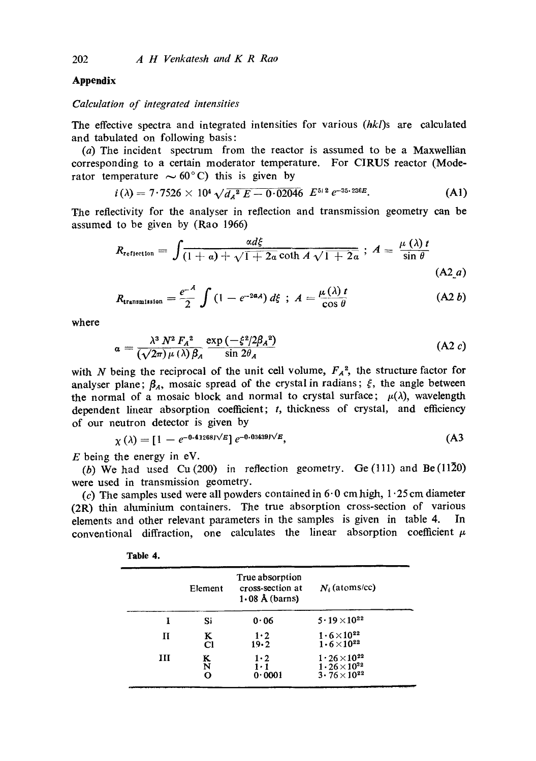### **Appendix**

#### *Calculation of integrated intensities*

The effective spectra and integrated intensities for various *(hkl)s* are calculated and tabulated on following basis:

(a) The incident spectrum from the reactor is assumed to be a Maxwellian corresponding to a certain moderator temperature. For CIRUS reactor (Moderator temperature  $\sim 60^{\circ}$ C) this is given by

$$
i(\lambda) = 7.7526 \times 10^4 \sqrt{d_A^2 E - 0.02046} E^{5/2} e^{-35.236E}.
$$
 (A1)

The reflectivity for the analyser in reflection and transmission geometry can be assumed to be given by (Rao 1966)

$$
R_{\text{reflection}} = \int \frac{\alpha d\xi}{(1+a) + \sqrt{1+2a} \coth A \sqrt{1+2a}}; \ A = \frac{\mu(\lambda)t}{\sin \theta}
$$
\n(A2\_a)

$$
R_{\text{transmission}} = \frac{e^{-A}}{2} \int \left(1 - e^{-2\alpha A}\right) d\xi \, ; \, A = \frac{\mu(\lambda) t}{\cos \theta} \tag{A2 b}
$$

where

$$
\alpha = \frac{\lambda^3 N^2 F_A^2}{(\sqrt{2\pi})\mu (\lambda) \beta_A} \frac{\exp\left(-\xi^2/2\beta_A^2\right)}{\sin 2\theta_A} \tag{A2 } c
$$

with N being the reciprocal of the unit cell volume,  $F_A^2$ , the structure factor for analyser plane;  $\beta_A$ , mosaic spread of the crystal in radians;  $\xi$ , the angle between the normal of a mosaic block and normal to crystal surface;  $\mu(\lambda)$ , wavelength dependent linear absorption coefficient; t, thickness of crystal, and efficiency of our neutron detector is given by

$$
\chi(\lambda) = [1 - e^{-0.41268 \text{eV/E}}] e^{-0.03439 \text{eV/E}}, \tag{A3}
$$

 $E$  being the energy in eV.

(b) We had used Cu(200) in reflection geometry. Ge(111) and Be(1120) were used in transmission geometry.

(c) The samples used were all powders contained in  $6.0 \text{ cm}$  high,  $1.25 \text{ cm}$  diameter (2R) thin aluminium containers. The true absorption cross-section of various elements and other relevant parameters in the samples is given in table 4. In conventional diffraction, one calculates the linear absorption coefficient  $\mu$ 

|   | Element     | True absorption<br>cross-section at<br>$1.08$ Å (barns) | $N_i$ (atoms/cc)                                                                  |
|---|-------------|---------------------------------------------------------|-----------------------------------------------------------------------------------|
| Ŧ | Si          | 0.06                                                    | $5 \cdot 19 \times 10^{22}$                                                       |
| П | K<br>C1     | $1 \cdot 2$<br>19.2                                     | $1 \cdot 6 \times 10^{22}$<br>$1.6 \times 10^{22}$                                |
| ш | K<br>N<br>O | $1\cdot 2$<br>$1 \cdot 1$<br>0.0001                     | $1 \cdot 26 \times 10^{22}$<br>$1.26\times10^{22}$<br>$3 \cdot 76 \times 10^{22}$ |

| ŀ<br>۱h<br>o<br>g<br>k |  |
|------------------------|--|
|------------------------|--|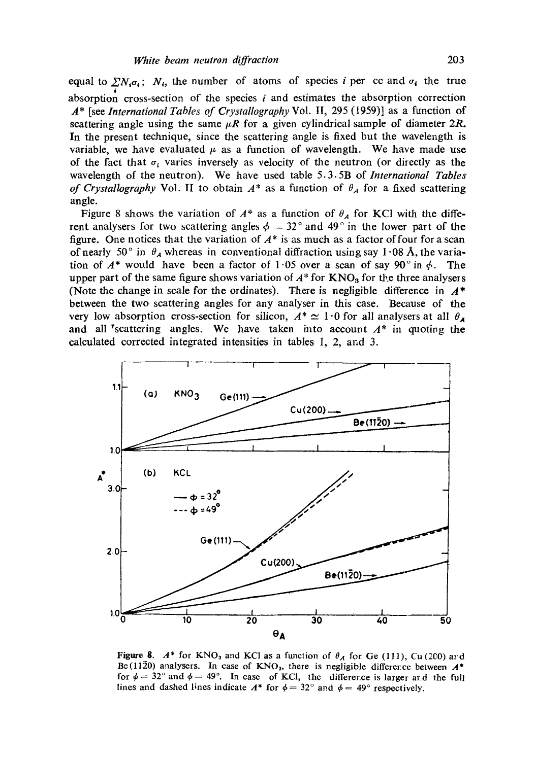equal to  $\sum_i N_i \sigma_i$ ;  $N_i$ , the number of atoms of species i per cc and  $\sigma_i$  the true absorption cross-section of the species  $i$  and estimates the absorption correction A\* [see *International Tables of Crystallography* Vol. II, 295 (t959)] as a function of scattering angle using the same  $\mu$ R for a given cylindrical sample of diameter 2R. In the present technique, since the scattering angle is fixed but the wavelength is variable, we have evaluated  $\mu$  as a function of wavelength. We have made use of the fact that  $\sigma_i$  varies inversely as velocity of the neutron (or directly as the wavelength of the neutron). We have used table 5.3.5B of *International Tables of Crystallography* Vol. II to obtain  $A^*$  as a function of  $\theta_A$  for a fixed scattering angle.

Figure 8 shows the variation of  $A^*$  as a function of  $\theta_A$  for KCI with the different analysers for two scattering angles  $\phi = 32^\circ$  and 49° in the lower part of the figure. One notices that the variation of  $A^*$  is as much as a factor of four for a scan of nearly 50° in  $\theta_A$  whereas in conventional diffraction using say 1.08 Å, the variation of  $A^*$  would have been a factor of 1.05 over a scan of say 90° in  $\phi$ . The upper part of the same figure shows variation of  $A^*$  for  $KNO<sub>3</sub>$  for the three analysers (Note the change in scale for the ordinates). There is negligible difference in  $A^*$ between the two scattering angles for any analyser in this case. Because of the very low absorption cross-section for silicon,  $A^* \simeq 1.0$  for all analysers at all  $\theta$ and all <sup>r</sup>scattering angles. We have taken into account  $A^*$  in quoting the calculated corrected integrated intensities in tables I, 2, and 3.



Figure 8.  $A^*$  for KNO<sub>3</sub> and KCl as a function of  $\theta_A$  for Ge (111), Cu (200) ard Be(1120) analysers. In case of KNO<sub>3</sub>, there is negligible difference between  $A^*$ for  $\phi = 32^{\circ}$  and  $\phi = 49^{\circ}$ . In case of KCl, the difference is larger and the full lines and dashed lines indicate  $A^*$  for  $\phi = 32^\circ$  and  $\phi = 49^\circ$  respectively.